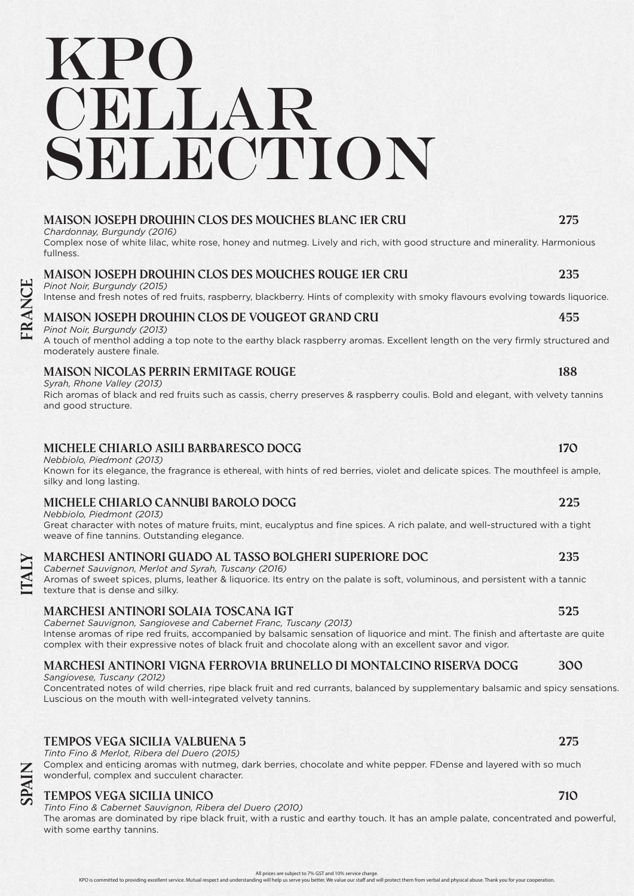# KPO cellar SELECTION

#### **Maison Joseph Drouhin Clos des Mouches Blanc 1er Cru 275**

*Chardonnay, Burgundy (2016)*

Complex nose of white lilac, white rose, honey and nutmeg. Lively and rich, with good structure and minerality. Harmonious fullness.

#### **Maison Joseph Drouhin Clos des Mouches Rouge 1er Cru 235**

*Pinot Noir, Burgundy (2015)*

Intense and fresh notes of red fruits, raspberry, blackberry. Hints of complexity with smoky flavours evolving towards liquorice.

## **Maison Joseph Drouhin Clos de Vougeot Grand Cru 455**

*Pinot Noir, Burgundy (2013)*

A touch of menthol adding a top note to the earthy black raspberry aromas. Excellent length on the very firmly structured and moderately austere finale.

#### **Maison Nicolas Perrin Ermitage Rouge 188**

*Syrah, Rhone Valley (2013)*

Rich aromas of black and red fruits such as cassis, cherry preserves & raspberry coulis. Bold and elegant, with velvety tannins and good structure.

### **Michele Chiarlo Asili Barbaresco DOCG 170**

#### *Nebbiolo, Piedmont (2013)*

Known for its elegance, the fragrance is ethereal, with hints of red berries, violet and delicate spices. The mouthfeel is ample, silky and long lasting.

### **Michele Chiarlo Cannubi Barolo DOCG 225**

*Nebbiolo, Piedmont (2013)*

Great character with notes of mature fruits, mint, eucalyptus and fine spices. A rich palate, and well-structured with a tight weave of fine tannins. Outstanding elegance.

#### **Marchesi Antinori Guado al Tasso Bolgheri Superiore DOC 235**

*Cabernet Sauvignon, Merlot and Syrah, Tuscany (2016)* Aromas of sweet spices, plums, leather & liquorice. Its entry on the palate is soft, voluminous, and persistent with a tannic texture that is dense and silky.

### **Marchesi Antinori Solaia Toscana IGT 525**

*Cabernet Sauvignon, Sangiovese and Cabernet Franc, Tuscany (2013)*

Intense aromas of ripe red fruits, accompanied by balsamic sensation of liquorice and mint. The finish and aftertaste are quite complex with their expressive notes of black fruit and chocolate along with an excellent savor and vigor.

# **Marchesi Antinori Vigna Ferrovia Brunello di Montalcino Riserva DOCG 300**

*Sangiovese, Tuscany (2012)*

Concentrated notes of wild cherries, ripe black fruit and red currants, balanced by supplementary balsamic and spicy sensations. Luscious on the mouth with well-integrated velvety tannins.

#### **Tempos Vega Sicilia Valbuena 5 275**

*Tinto Fino & Merlot, Ribera del Duero (2015)*

Complex and enticing aromas with nutmeg, dark berries, chocolate and white pepper. FDense and layered with so much wonderful, complex and succulent character.

#### **Tempos Vega Sicilia Unico 710**

*Tinto Fino & Cabernet Sauvignon, Ribera del Duero (2010)* The aromas are dominated by ripe black fruit, with a rustic and earthy touch. It has an ample palate, concentrated and powerful, with some earthy tannins.

All prices are subject to 7% GST and 10% service charge.

KPO is committed to providing excellent service. Mutual respect and understanding will help us serve you better. We value our staff and will protect them from verbal and physical abuse. Thank you for your cooperation.

**italy france**